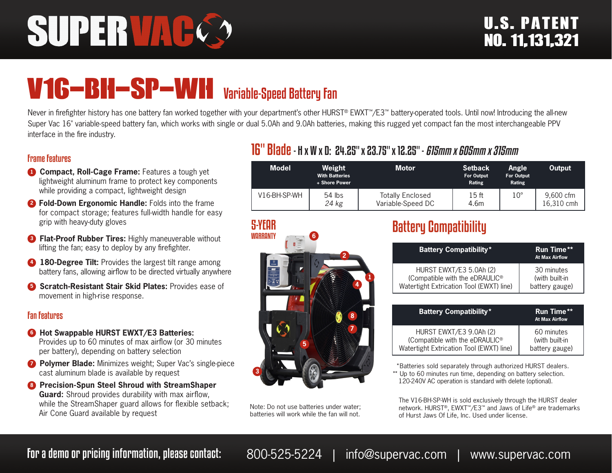# SUPERVAL

## V16-BH-SP-WH Variable-Speed Battery Fan

Never in firefighter history has one battery fan worked together with your department's other HURST® EWXT™/E3™ battery-operated tools. Until now! Introducing the all-new Super Vac 16" variable-speed battery fan, which works with single or dual 5.0Ah and 9.0Ah batteries, making this rugged yet compact fan the most interchangeable PPV interface in the fire industry.

#### Frame Features

- **1 Compact, Roll-Cage Frame:** Features a tough yet lightweight aluminum frame to protect key components while providing a compact, lightweight design
- **<sup>2</sup> Fold-Down Ergonomic Handle:** Folds into the frame for compact storage; features full-width handle for easy grip with heavy-duty gloves
- **8 Flat-Proof Rubber Tires:** Highly maneuverable without lifting the fan; easy to deploy by any firefighter.
- **4 180-Degree Tilt:** Provides the largest tilt range among battery fans, allowing airflow to be directed virtually anywhere
- **6** Scratch-Resistant Stair Skid Plates: Provides ease of movement in high-rise response.

#### Fan Features

- **6** Hot Swappable HURST EWXT/E3 Batteries: Provides up to 60 minutes of max airflow (or 30 minutes per battery), depending on battery selection
- *D* Polymer Blade: Minimizes weight; Super Vac's single-piece cast aluminum blade is available by request
- **8 Precision-Spun Steel Shroud with StreamShaper Guard:** Shroud provides durability with max airflow, while the StreamShaper guard allows for flexible setback; Air Cone Guard available by request

#### 16" Blade- H x W x D: 24.25" x 23.75" x 12.25" - *615mm x 605mm x 315mm*

| <b>Model</b> | Weight<br><b>With Batteries</b><br>+ Shore Power | <b>Motor</b>                                 | <b>Setback</b><br>For Output<br>Rating | <b>Angle</b><br><b>For Output</b><br>Rating | Output                  |
|--------------|--------------------------------------------------|----------------------------------------------|----------------------------------------|---------------------------------------------|-------------------------|
| V16-BH-SP-WH | $54$ lbs<br>24 kg                                | <b>Totally Enclosed</b><br>Variable-Speed DC | 15 <sub>ft</sub><br>4.6m               | $10^{\circ}$                                | 9.600 cfm<br>16.310 cmh |



Note: Do not use batteries under water; batteries will work while the fan will not.

### Battery Compatibility

| <b>Battery Compatibility*</b>              | <b>Run Time**</b><br><b>At Max Airflow</b> |
|--------------------------------------------|--------------------------------------------|
| HURST EWXT/E3 5.0Ah (2)                    | 30 minutes                                 |
| (Compatible with the eDRAULIC <sup>®</sup> | (with built-in                             |
| Watertight Extrication Tool (EWXT) line)   | battery gauge)                             |

| <b>Battery Compatibility*</b>              | <b>Run Time**</b><br><b>At Max Airflow</b> |
|--------------------------------------------|--------------------------------------------|
| HURST EWXT/E3 9.0Ah (2)                    | 60 minutes                                 |
| (Compatible with the eDRAULIC <sup>®</sup> | (with built-in                             |
| Watertight Extrication Tool (EWXT) line)   | battery gauge)                             |

 \*Batteries sold separately through authorized HURST dealers. \*\* Up to 60 minutes run time, depending on battery selection. 120-240V AC operation is standard with delete (optional).

The V16-BH-SP-WH is sold exclusively through the HURST dealer network. HURST®, EWXT™/E3™ and Jaws of Life® are trademarks of Hurst Jaws Of Life, Inc. Used under license.

For a demo or pricing information, please contact: 800-525-5224 | info@supervac.com | www.supervac.com